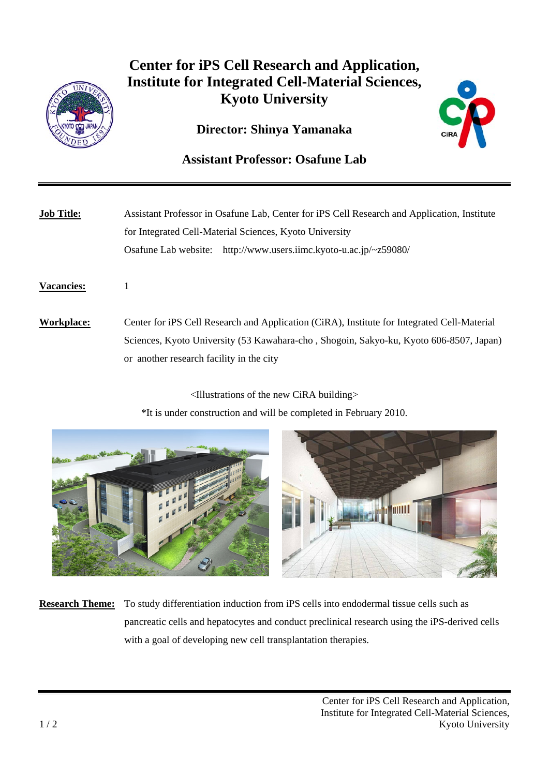

## **Center for iPS Cell Research and Application, Institute for Integrated Cell-Material Sciences, Kyoto University**

## **Director: Shinya Yamanaka**



## **Assistant Professor: Osafune Lab**

| <b>Job Title:</b> | Assistant Professor in Osafune Lab, Center for iPS Cell Research and Application, Institute<br>for Integrated Cell-Material Sciences, Kyoto University<br>Osafune Lab website: http://www.users.iimc.kyoto-u.ac.jp/~z59080/       |
|-------------------|-----------------------------------------------------------------------------------------------------------------------------------------------------------------------------------------------------------------------------------|
| <b>Vacancies:</b> |                                                                                                                                                                                                                                   |
| Workplace:        | Center for iPS Cell Research and Application (CiRA), Institute for Integrated Cell-Material<br>Sciences, Kyoto University (53 Kawahara-cho, Shogoin, Sakyo-ku, Kyoto 606-8507, Japan)<br>or another research facility in the city |

<Illustrations of the new CiRA building>

\*It is under construction and will be completed in February 2010.



**Research Theme:** To study differentiation induction from iPS cells into endodermal tissue cells such as pancreatic cells and hepatocytes and conduct preclinical research using the iPS-derived cells with a goal of developing new cell transplantation therapies.